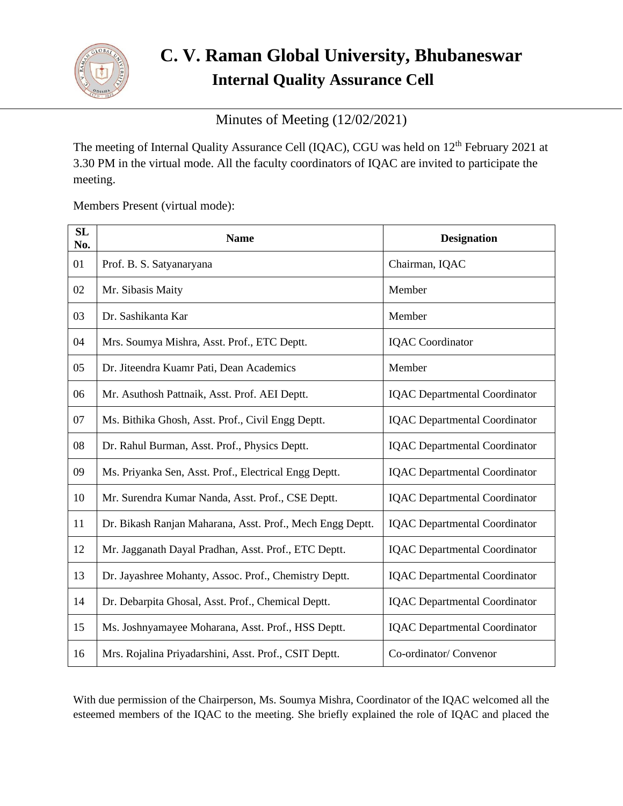

# **C. V. Raman Global University, Bhubaneswar Internal Quality Assurance Cell**

Minutes of Meeting (12/02/2021)

The meeting of Internal Quality Assurance Cell (IQAC), CGU was held on 12<sup>th</sup> February 2021 at 3.30 PM in the virtual mode. All the faculty coordinators of IQAC are invited to participate the meeting.

Members Present (virtual mode):

| SL<br>No. | <b>Name</b>                                               | <b>Designation</b>                   |
|-----------|-----------------------------------------------------------|--------------------------------------|
| 01        | Prof. B. S. Satyanaryana                                  | Chairman, IQAC                       |
| 02        | Mr. Sibasis Maity                                         | Member                               |
| 03        | Dr. Sashikanta Kar                                        | Member                               |
| 04        | Mrs. Soumya Mishra, Asst. Prof., ETC Deptt.               | <b>IQAC</b> Coordinator              |
| 05        | Dr. Jiteendra Kuamr Pati, Dean Academics                  | Member                               |
| 06        | Mr. Asuthosh Pattnaik, Asst. Prof. AEI Deptt.             | <b>IQAC</b> Departmental Coordinator |
| 07        | Ms. Bithika Ghosh, Asst. Prof., Civil Engg Deptt.         | <b>IQAC</b> Departmental Coordinator |
| 08        | Dr. Rahul Burman, Asst. Prof., Physics Deptt.             | <b>IQAC</b> Departmental Coordinator |
| 09        | Ms. Priyanka Sen, Asst. Prof., Electrical Engg Deptt.     | <b>IQAC</b> Departmental Coordinator |
| 10        | Mr. Surendra Kumar Nanda, Asst. Prof., CSE Deptt.         | <b>IQAC</b> Departmental Coordinator |
| 11        | Dr. Bikash Ranjan Maharana, Asst. Prof., Mech Engg Deptt. | <b>IQAC</b> Departmental Coordinator |
| 12        | Mr. Jagganath Dayal Pradhan, Asst. Prof., ETC Deptt.      | <b>IQAC</b> Departmental Coordinator |
| 13        | Dr. Jayashree Mohanty, Assoc. Prof., Chemistry Deptt.     | <b>IQAC</b> Departmental Coordinator |
| 14        | Dr. Debarpita Ghosal, Asst. Prof., Chemical Deptt.        | <b>IQAC</b> Departmental Coordinator |
| 15        | Ms. Joshnyamayee Moharana, Asst. Prof., HSS Deptt.        | <b>IQAC</b> Departmental Coordinator |
| 16        | Mrs. Rojalina Priyadarshini, Asst. Prof., CSIT Deptt.     | Co-ordinator/ Convenor               |

With due permission of the Chairperson, Ms. Soumya Mishra, Coordinator of the IQAC welcomed all the esteemed members of the IQAC to the meeting. She briefly explained the role of IQAC and placed the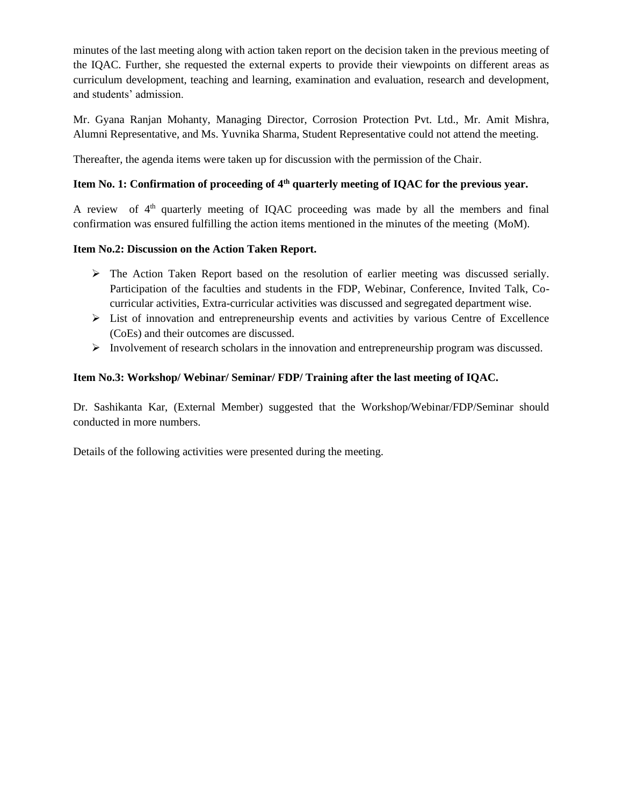minutes of the last meeting along with action taken report on the decision taken in the previous meeting of the IQAC. Further, she requested the external experts to provide their viewpoints on different areas as curriculum development, teaching and learning, examination and evaluation, research and development, and students' admission.

Mr. Gyana Ranjan Mohanty, Managing Director, Corrosion Protection Pvt. Ltd., Mr. Amit Mishra, Alumni Representative, and Ms. Yuvnika Sharma, Student Representative could not attend the meeting.

Thereafter, the agenda items were taken up for discussion with the permission of the Chair.

### **Item No. 1: Confirmation of proceeding of 4th quarterly meeting of IQAC for the previous year.**

A review of  $4<sup>th</sup>$  quarterly meeting of IQAC proceeding was made by all the members and final confirmation was ensured fulfilling the action items mentioned in the minutes of the meeting (MoM).

#### **Item No.2: Discussion on the Action Taken Report.**

- ➢ The Action Taken Report based on the resolution of earlier meeting was discussed serially. Participation of the faculties and students in the FDP, Webinar, Conference, Invited Talk, Cocurricular activities, Extra-curricular activities was discussed and segregated department wise.
- ➢ List of innovation and entrepreneurship events and activities by various Centre of Excellence (CoEs) and their outcomes are discussed.
- $\triangleright$  Involvement of research scholars in the innovation and entrepreneurship program was discussed.

#### **Item No.3: Workshop/ Webinar/ Seminar/ FDP/ Training after the last meeting of IQAC.**

Dr. Sashikanta Kar, (External Member) suggested that the Workshop/Webinar/FDP/Seminar should conducted in more numbers.

Details of the following activities were presented during the meeting.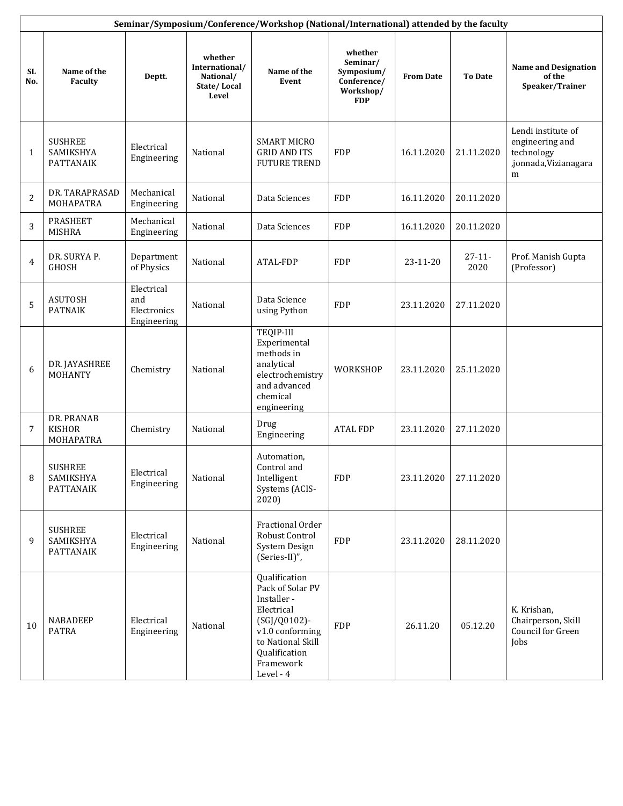|                  | Seminar/Symposium/Conference/Workshop (National/International) attended by the faculty |                                                 |                                                                |                                                                                                                                                                   |                                                                             |                  |                     |                                                                                  |  |  |
|------------------|----------------------------------------------------------------------------------------|-------------------------------------------------|----------------------------------------------------------------|-------------------------------------------------------------------------------------------------------------------------------------------------------------------|-----------------------------------------------------------------------------|------------------|---------------------|----------------------------------------------------------------------------------|--|--|
| <b>SL</b><br>No. | Name of the<br>Faculty                                                                 | Deptt.                                          | whether<br>International/<br>National/<br>State/Local<br>Level | Name of the<br>Event                                                                                                                                              | whether<br>Seminar/<br>Symposium/<br>Conference/<br>Workshop/<br><b>FDP</b> | <b>From Date</b> | <b>To Date</b>      | <b>Name and Designation</b><br>of the<br>Speaker/Trainer                         |  |  |
| 1                | <b>SUSHREE</b><br>SAMIKSHYA<br>PATTANAIK                                               | Electrical<br>Engineering                       | National                                                       | <b>SMART MICRO</b><br><b>GRID AND ITS</b><br><b>FUTURE TREND</b>                                                                                                  | <b>FDP</b>                                                                  | 16.11.2020       | 21.11.2020          | Lendi institute of<br>engineering and<br>technology<br>,jonnada,Vizianagara<br>m |  |  |
| 2                | DR. TARAPRASAD<br>MOHAPATRA                                                            | Mechanical<br>Engineering                       | National                                                       | Data Sciences                                                                                                                                                     | <b>FDP</b>                                                                  | 16.11.2020       | 20.11.2020          |                                                                                  |  |  |
| 3                | <b>PRASHEET</b><br><b>MISHRA</b>                                                       | Mechanical<br>Engineering                       | National                                                       | Data Sciences                                                                                                                                                     | <b>FDP</b>                                                                  | 16.11.2020       | 20.11.2020          |                                                                                  |  |  |
| 4                | DR. SURYA P.<br><b>GHOSH</b>                                                           | Department<br>of Physics                        | National                                                       | ATAL-FDP                                                                                                                                                          | <b>FDP</b>                                                                  | 23-11-20         | $27 - 11 -$<br>2020 | Prof. Manish Gupta<br>(Professor)                                                |  |  |
| 5                | <b>ASUTOSH</b><br><b>PATNAIK</b>                                                       | Electrical<br>and<br>Electronics<br>Engineering | National                                                       | Data Science<br>using Python                                                                                                                                      | <b>FDP</b>                                                                  | 23.11.2020       | 27.11.2020          |                                                                                  |  |  |
| 6                | DR. JAYASHREE<br>MOHANTY                                                               | Chemistry                                       | National                                                       | TEQIP-III<br>Experimental<br>methods in<br>analytical<br>electrochemistry<br>and advanced<br>chemical<br>engineering                                              | WORKSHOP                                                                    | 23.11.2020       | 25.11.2020          |                                                                                  |  |  |
| 7                | DR. PRANAB<br><b>KISHOR</b><br>MOHAPATRA                                               | Chemistry                                       | National                                                       | Drug<br>Engineering                                                                                                                                               | <b>ATAL FDP</b>                                                             | 23.11.2020       | 27.11.2020          |                                                                                  |  |  |
| 8                | <b>SUSHREE</b><br>SAMIKSHYA<br><b>PATTANAIK</b>                                        | Electrical<br>Engineering                       | National                                                       | Automation,<br>Control and<br>Intelligent<br>Systems (ACIS-<br>2020)                                                                                              | <b>FDP</b>                                                                  | 23.11.2020       | 27.11.2020          |                                                                                  |  |  |
| 9                | <b>SUSHREE</b><br>SAMIKSHYA<br><b>PATTANAIK</b>                                        | Electrical<br>Engineering                       | National                                                       | Fractional Order<br>Robust Control<br>System Design<br>(Series-II)",                                                                                              | <b>FDP</b>                                                                  | 23.11.2020       | 28.11.2020          |                                                                                  |  |  |
| 10               | <b>NABADEEP</b><br><b>PATRA</b>                                                        | Electrical<br>Engineering                       | National                                                       | Qualification<br>Pack of Solar PV<br>Installer -<br>Electrical<br>(SGJ/Q0102)-<br>v1.0 conforming<br>to National Skill<br>Qualification<br>Framework<br>Level - 4 | <b>FDP</b>                                                                  | 26.11.20         | 05.12.20            | K. Krishan,<br>Chairperson, Skill<br>Council for Green<br>Jobs                   |  |  |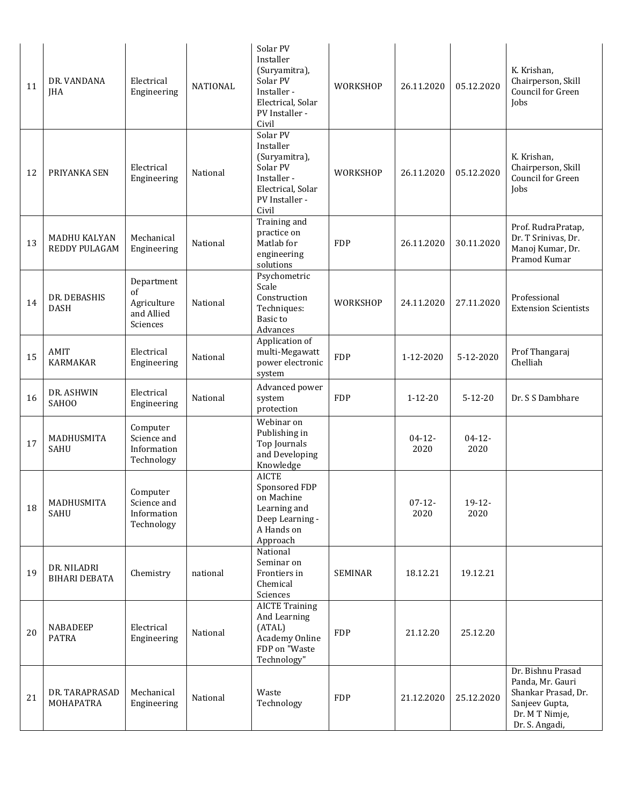| 11 | DR. VANDANA<br>JHA                   | Electrical<br>Engineering                                 | <b>NATIONAL</b> | Solar PV<br>Installer<br>(Suryamitra),<br>Solar PV<br>Installer -<br>Electrical, Solar<br>PV Installer -<br>Civil | WORKSHOP       | 26.11.2020          | 05.12.2020          | K. Krishan,<br>Chairperson, Skill<br>Council for Green<br>Jobs                                                     |
|----|--------------------------------------|-----------------------------------------------------------|-----------------|-------------------------------------------------------------------------------------------------------------------|----------------|---------------------|---------------------|--------------------------------------------------------------------------------------------------------------------|
| 12 | PRIYANKA SEN                         | Electrical<br>Engineering                                 | National        | Solar PV<br>Installer<br>(Suryamitra),<br>Solar PV<br>Installer -<br>Electrical, Solar<br>PV Installer -<br>Civil | WORKSHOP       | 26.11.2020          | 05.12.2020          | K. Krishan,<br>Chairperson, Skill<br>Council for Green<br>Jobs                                                     |
| 13 | <b>MADHU KALYAN</b><br>REDDY PULAGAM | Mechanical<br>Engineering                                 | National        | Training and<br>practice on<br>Matlab for<br>engineering<br>solutions                                             | <b>FDP</b>     | 26.11.2020          | 30.11.2020          | Prof. RudraPratap,<br>Dr. T Srinivas, Dr.<br>Manoj Kumar, Dr.<br>Pramod Kumar                                      |
| 14 | DR. DEBASHIS<br><b>DASH</b>          | Department<br>of<br>Agriculture<br>and Allied<br>Sciences | National        | Psychometric<br>Scale<br>Construction<br>Techniques:<br>Basic to<br>Advances                                      | WORKSHOP       | 24.11.2020          | 27.11.2020          | Professional<br><b>Extension Scientists</b>                                                                        |
| 15 | AMIT<br><b>KARMAKAR</b>              | Electrical<br>Engineering                                 | National        | Application of<br>multi-Megawatt<br>power electronic<br>system                                                    | <b>FDP</b>     | 1-12-2020           | 5-12-2020           | Prof Thangaraj<br>Chelliah                                                                                         |
| 16 | DR. ASHWIN<br>SAH00                  | Electrical<br>Engineering                                 | National        | Advanced power<br>system<br>protection                                                                            | <b>FDP</b>     | $1 - 12 - 20$       | $5 - 12 - 20$       | Dr. S S Dambhare                                                                                                   |
| 17 | MADHUSMITA<br>SAHU                   | Computer<br>Science and<br>Information<br>Technology      |                 | Webinar on<br>Publishing in<br>Top Journals<br>and Developing<br>Knowledge                                        |                | $04 - 12 -$<br>2020 | $04 - 12 -$<br>2020 |                                                                                                                    |
| 18 | MADHUSMITA<br>SAHU                   | Computer<br>Science and<br>Information<br>Technology      |                 | <b>AICTE</b><br>Sponsored FDP<br>on Machine<br>Learning and<br>Deep Learning -<br>A Hands on<br>Approach          |                | $07 - 12 -$<br>2020 | 19-12-<br>2020      |                                                                                                                    |
| 19 | DR. NILADRI<br><b>BIHARI DEBATA</b>  | Chemistry                                                 | national        | National<br>Seminar on<br>Frontiers in<br>Chemical<br>Sciences                                                    | <b>SEMINAR</b> | 18.12.21            | 19.12.21            |                                                                                                                    |
| 20 | NABADEEP<br><b>PATRA</b>             | Electrical<br>Engineering                                 | National        | <b>AICTE Training</b><br>And Learning<br>(ATAL)<br>Academy Online<br>FDP on "Waste<br>Technology"                 | <b>FDP</b>     | 21.12.20            | 25.12.20            |                                                                                                                    |
| 21 | DR. TARAPRASAD<br>MOHAPATRA          | Mechanical<br>Engineering                                 | National        | Waste<br>Technology                                                                                               | <b>FDP</b>     | 21.12.2020          | 25.12.2020          | Dr. Bishnu Prasad<br>Panda, Mr. Gauri<br>Shankar Prasad, Dr.<br>Sanjeev Gupta,<br>Dr. M T Nimje,<br>Dr. S. Angadi, |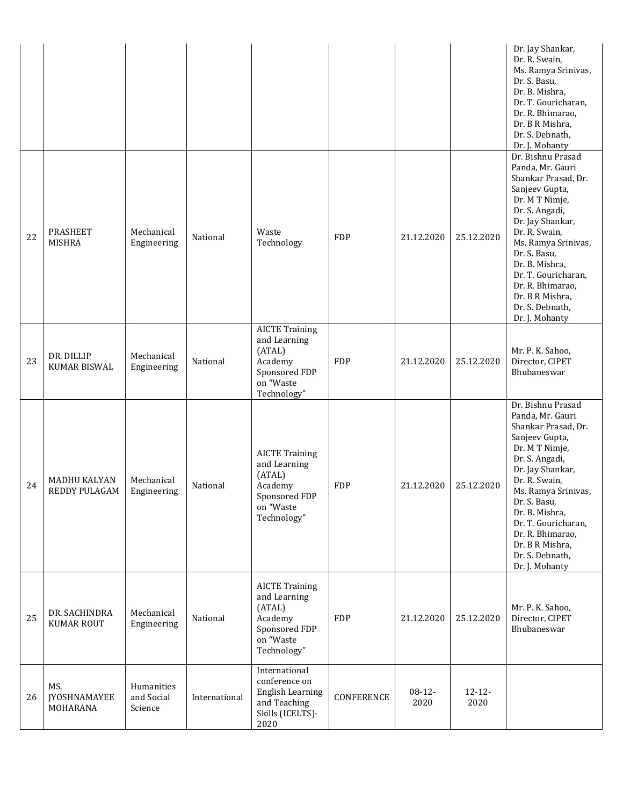|    |                                        |                                     |               |                                                                                                         |            |                  |                     | Dr. Jay Shankar,<br>Dr. R. Swain,<br>Ms. Ramya Srinivas,<br>Dr. S. Basu,<br>Dr. B. Mishra,<br>Dr. T. Gouricharan,<br>Dr. R. Bhimarao,<br>Dr. B R Mishra,<br>Dr. S. Debnath,<br>Dr. J. Mohanty                                                                                                                       |
|----|----------------------------------------|-------------------------------------|---------------|---------------------------------------------------------------------------------------------------------|------------|------------------|---------------------|---------------------------------------------------------------------------------------------------------------------------------------------------------------------------------------------------------------------------------------------------------------------------------------------------------------------|
| 22 | <b>PRASHEET</b><br><b>MISHRA</b>       | Mechanical<br>Engineering           | National      | Waste<br>Technology                                                                                     | <b>FDP</b> | 21.12.2020       | 25.12.2020          | Dr. Bishnu Prasad<br>Panda, Mr. Gauri<br>Shankar Prasad, Dr.<br>Sanjeev Gupta,<br>Dr. M T Nimje,<br>Dr. S. Angadi,<br>Dr. Jay Shankar,<br>Dr. R. Swain,<br>Ms. Ramya Srinivas,<br>Dr. S. Basu,<br>Dr. B. Mishra,<br>Dr. T. Gouricharan,<br>Dr. R. Bhimarao,<br>Dr. B R Mishra,<br>Dr. S. Debnath,<br>Dr. J. Mohanty |
| 23 | DR. DILLIP<br>KUMAR BISWAL             | Mechanical<br>Engineering           | National      | <b>AICTE Training</b><br>and Learning<br>(ATAL)<br>Academy<br>Sponsored FDP<br>on "Waste<br>Technology" | <b>FDP</b> | 21.12.2020       | 25.12.2020          | Mr. P. K. Sahoo,<br>Director, CIPET<br>Bhubaneswar                                                                                                                                                                                                                                                                  |
| 24 | MADHU KALYAN<br>REDDY PULAGAM          | Mechanical<br>Engineering           | National      | <b>AICTE Training</b><br>and Learning<br>(ATAL)<br>Academy<br>Sponsored FDP<br>on "Waste<br>Technology" | <b>FDP</b> | 21.12.2020       | 25.12.2020          | Dr. Bishnu Prasad<br>Panda, Mr. Gauri<br>Shankar Prasad, Dr.<br>Sanjeev Gupta,<br>Dr. M T Nimje,<br>Dr. S. Angadi,<br>Dr. Jay Shankar,<br>Dr. R. Swain,<br>Ms. Ramya Srinivas,<br>Dr. S. Basu,<br>Dr. B. Mishra,<br>Dr. T. Gouricharan,<br>Dr. R. Bhimarao,<br>Dr. B R Mishra,<br>Dr. S. Debnath,<br>Dr. J. Mohanty |
| 25 | DR. SACHINDRA<br><b>KUMAR ROUT</b>     | Mechanical<br>Engineering           | National      | <b>AICTE Training</b><br>and Learning<br>(ATAL)<br>Academy<br>Sponsored FDP<br>on "Waste<br>Technology" | <b>FDP</b> | 21.12.2020       | 25.12.2020          | Mr. P. K. Sahoo,<br>Director, CIPET<br>Bhubaneswar                                                                                                                                                                                                                                                                  |
| 26 | MS.<br><b>JYOSHNAMAYEE</b><br>MOHARANA | Humanities<br>and Social<br>Science | International | International<br>conference on<br><b>English Learning</b><br>and Teaching<br>Skills (ICELTS)-<br>2020   | CONFERENCE | $08-12-$<br>2020 | $12 - 12 -$<br>2020 |                                                                                                                                                                                                                                                                                                                     |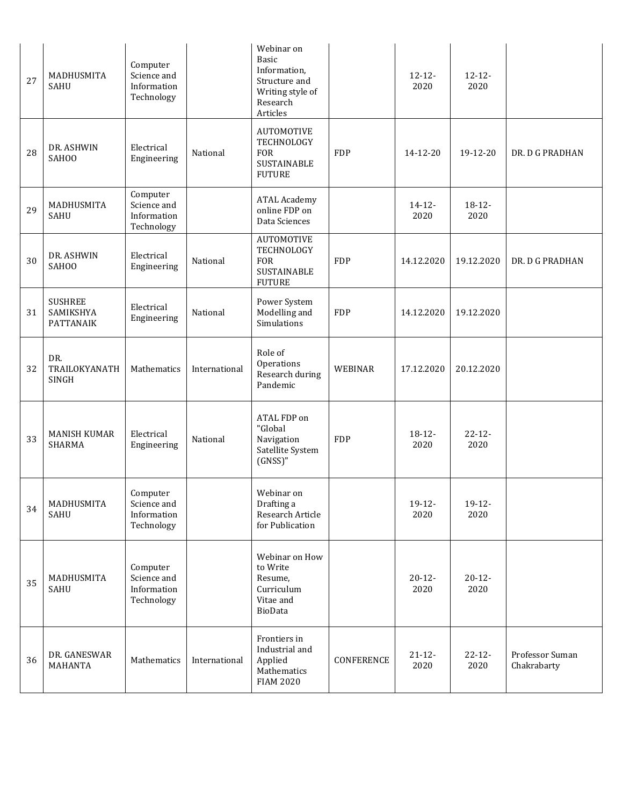| 27 | MADHUSMITA<br>SAHU                       | Computer<br>Science and<br>Information<br>Technology |               | Webinar on<br>Basic<br>Information,<br>Structure and<br>Writing style of<br>Research<br>Articles |                | $12 - 12 -$<br>2020 | $12 - 12 -$<br>2020 |                                |
|----|------------------------------------------|------------------------------------------------------|---------------|--------------------------------------------------------------------------------------------------|----------------|---------------------|---------------------|--------------------------------|
| 28 | DR. ASHWIN<br>SAHOO                      | Electrical<br>Engineering                            | National      | <b>AUTOMOTIVE</b><br>TECHNOLOGY<br><b>FOR</b><br>SUSTAINABLE<br><b>FUTURE</b>                    | <b>FDP</b>     | 14-12-20            | 19-12-20            | DR. D G PRADHAN                |
| 29 | MADHUSMITA<br>SAHU                       | Computer<br>Science and<br>Information<br>Technology |               | <b>ATAL Academy</b><br>online FDP on<br>Data Sciences                                            |                | $14 - 12 -$<br>2020 | $18-12-$<br>2020    |                                |
| 30 | DR. ASHWIN<br>SAH00                      | Electrical<br>Engineering                            | National      | <b>AUTOMOTIVE</b><br>TECHNOLOGY<br><b>FOR</b><br><b>SUSTAINABLE</b><br><b>FUTURE</b>             | <b>FDP</b>     | 14.12.2020          | 19.12.2020          | DR. D G PRADHAN                |
| 31 | <b>SUSHREE</b><br>SAMIKSHYA<br>PATTANAIK | Electrical<br>Engineering                            | National      | Power System<br>Modelling and<br>Simulations                                                     | <b>FDP</b>     | 14.12.2020          | 19.12.2020          |                                |
| 32 | DR.<br>TRAILOKYANATH<br>SINGH            | Mathematics                                          | International | Role of<br>Operations<br>Research during<br>Pandemic                                             | <b>WEBINAR</b> | 17.12.2020          | 20.12.2020          |                                |
| 33 | <b>MANISH KUMAR</b><br><b>SHARMA</b>     | Electrical<br>Engineering                            | National      | ATAL FDP on<br>"Global<br>Navigation<br>Satellite System<br>$(GNSS)$ "                           | <b>FDP</b>     | $18-12-$<br>2020    | $22 - 12$<br>2020   |                                |
| 34 | MADHUSMITA<br>SAHU                       | Computer<br>Science and<br>Information<br>Technology |               | Webinar on<br>Drafting a<br>Research Article<br>for Publication                                  |                | $19-12-$<br>2020    | $19-12-$<br>2020    |                                |
| 35 | MADHUSMITA<br><b>SAHU</b>                | Computer<br>Science and<br>Information<br>Technology |               | Webinar on How<br>to Write<br>Resume,<br>Curriculum<br>Vitae and<br>BioData                      |                | $20 - 12 -$<br>2020 | $20 - 12 -$<br>2020 |                                |
| 36 | DR. GANESWAR<br>MAHANTA                  | Mathematics                                          | International | Frontiers in<br>Industrial and<br>Applied<br>Mathematics<br><b>FIAM 2020</b>                     | CONFERENCE     | $21 - 12 -$<br>2020 | $22 - 12 -$<br>2020 | Professor Suman<br>Chakrabarty |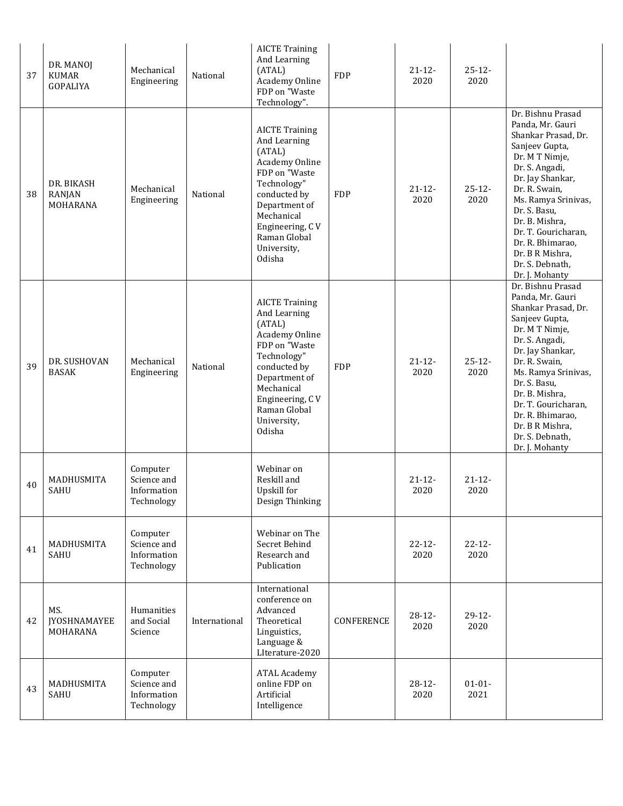| 37 | DR. MANOJ<br><b>KUMAR</b><br>GOPALIYA  | Mechanical<br>Engineering                            | National      | <b>AICTE Training</b><br>And Learning<br>(ATAL)<br>Academy Online<br>FDP on "Waste<br>Technology".                                                                                                           | <b>FDP</b> | $21 - 12$<br>2020   | $25 - 12 -$<br>2020 |                                                                                                                                                                                                                                                                                                                     |
|----|----------------------------------------|------------------------------------------------------|---------------|--------------------------------------------------------------------------------------------------------------------------------------------------------------------------------------------------------------|------------|---------------------|---------------------|---------------------------------------------------------------------------------------------------------------------------------------------------------------------------------------------------------------------------------------------------------------------------------------------------------------------|
| 38 | DR. BIKASH<br>RANJAN<br>MOHARANA       | Mechanical<br>Engineering                            | National      | <b>AICTE Training</b><br>And Learning<br>(ATAL)<br>Academy Online<br>FDP on "Waste<br>Technology"<br>conducted by<br>Department of<br>Mechanical<br>Engineering, CV<br>Raman Global<br>University,<br>Odisha | <b>FDP</b> | $21 - 12 -$<br>2020 | $25 - 12 -$<br>2020 | Dr. Bishnu Prasad<br>Panda, Mr. Gauri<br>Shankar Prasad, Dr.<br>Sanjeev Gupta,<br>Dr. M T Nimje,<br>Dr. S. Angadi,<br>Dr. Jay Shankar,<br>Dr. R. Swain,<br>Ms. Ramya Srinivas,<br>Dr. S. Basu,<br>Dr. B. Mishra,<br>Dr. T. Gouricharan,<br>Dr. R. Bhimarao,<br>Dr. B R Mishra,<br>Dr. S. Debnath,<br>Dr. J. Mohanty |
| 39 | DR. SUSHOVAN<br><b>BASAK</b>           | Mechanical<br>Engineering                            | National      | <b>AICTE Training</b><br>And Learning<br>(ATAL)<br>Academy Online<br>FDP on "Waste<br>Technology"<br>conducted by<br>Department of<br>Mechanical<br>Engineering, CV<br>Raman Global<br>University,<br>Odisha | <b>FDP</b> | $21 - 12 -$<br>2020 | $25-12-$<br>2020    | Dr. Bishnu Prasad<br>Panda, Mr. Gauri<br>Shankar Prasad, Dr.<br>Sanjeev Gupta,<br>Dr. M T Nimje,<br>Dr. S. Angadi,<br>Dr. Jay Shankar,<br>Dr. R. Swain,<br>Ms. Ramya Srinivas,<br>Dr. S. Basu,<br>Dr. B. Mishra,<br>Dr. T. Gouricharan,<br>Dr. R. Bhimarao,<br>Dr. B R Mishra,<br>Dr. S. Debnath,<br>Dr. J. Mohanty |
| 40 | MADHUSMITA<br><b>SAHU</b>              | Computer<br>Science and<br>Information<br>Technology |               | Webinar on<br>Reskill and<br>Upskill for<br>Design Thinking                                                                                                                                                  |            | $21 - 12 -$<br>2020 | $21 - 12 -$<br>2020 |                                                                                                                                                                                                                                                                                                                     |
| 41 | MADHUSMITA<br>SAHU                     | Computer<br>Science and<br>Information<br>Technology |               | Webinar on The<br>Secret Behind<br>Research and<br>Publication                                                                                                                                               |            | $22 - 12 -$<br>2020 | $22 - 12 -$<br>2020 |                                                                                                                                                                                                                                                                                                                     |
| 42 | MS.<br><b>JYOSHNAMAYEE</b><br>MOHARANA | Humanities<br>and Social<br>Science                  | International | International<br>conference on<br>Advanced<br>Theoretical<br>Linguistics,<br>Language &<br>LIterature-2020                                                                                                   | CONFERENCE | $28-12-$<br>2020    | $29-12-$<br>2020    |                                                                                                                                                                                                                                                                                                                     |
| 43 | MADHUSMITA<br><b>SAHU</b>              | Computer<br>Science and<br>Information<br>Technology |               | <b>ATAL Academy</b><br>online FDP on<br>Artificial<br>Intelligence                                                                                                                                           |            | $28-12-$<br>2020    | $01 - 01 -$<br>2021 |                                                                                                                                                                                                                                                                                                                     |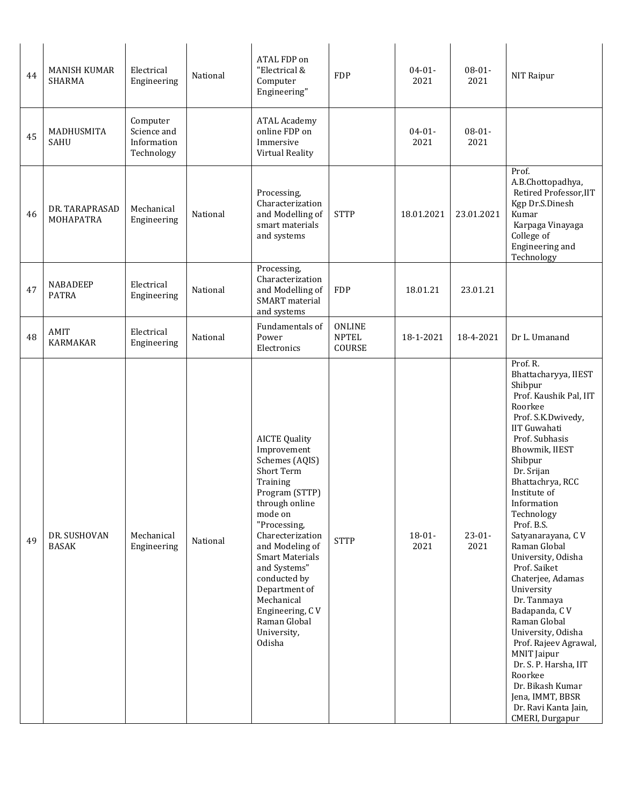| 44 | <b>MANISH KUMAR</b><br><b>SHARMA</b> | Electrical<br>Engineering                            | National | ATAL FDP on<br>"Electrical &<br>Computer<br>Engineering"                                                                                                                                                                                                                                                                            | <b>FDP</b>                              | $04 - 01 -$<br>2021 | $08 - 01 -$<br>2021 | NIT Raipur                                                                                                                                                                                                                                                                                                                                                                                                                                                                                                                                                                                                                   |
|----|--------------------------------------|------------------------------------------------------|----------|-------------------------------------------------------------------------------------------------------------------------------------------------------------------------------------------------------------------------------------------------------------------------------------------------------------------------------------|-----------------------------------------|---------------------|---------------------|------------------------------------------------------------------------------------------------------------------------------------------------------------------------------------------------------------------------------------------------------------------------------------------------------------------------------------------------------------------------------------------------------------------------------------------------------------------------------------------------------------------------------------------------------------------------------------------------------------------------------|
| 45 | MADHUSMITA<br>SAHU                   | Computer<br>Science and<br>Information<br>Technology |          | <b>ATAL Academy</b><br>online FDP on<br>Immersive<br>Virtual Reality                                                                                                                                                                                                                                                                |                                         | $04 - 01 -$<br>2021 | $08 - 01 -$<br>2021 |                                                                                                                                                                                                                                                                                                                                                                                                                                                                                                                                                                                                                              |
| 46 | DR. TARAPRASAD<br>MOHAPATRA          | Mechanical<br>Engineering                            | National | Processing,<br>Characterization<br>and Modelling of<br>smart materials<br>and systems                                                                                                                                                                                                                                               | <b>STTP</b>                             | 18.01.2021          | 23.01.2021          | Prof.<br>A.B.Chottopadhya,<br>Retired Professor, IIT<br>Kgp Dr.S.Dinesh<br>Kumar<br>Karpaga Vinayaga<br>College of<br>Engineering and<br>Technology                                                                                                                                                                                                                                                                                                                                                                                                                                                                          |
| 47 | <b>NABADEEP</b><br><b>PATRA</b>      | Electrical<br>Engineering                            | National | Processing,<br>Characterization<br>and Modelling of<br><b>SMART</b> material<br>and systems                                                                                                                                                                                                                                         | <b>FDP</b>                              | 18.01.21            | 23.01.21            |                                                                                                                                                                                                                                                                                                                                                                                                                                                                                                                                                                                                                              |
| 48 | AMIT<br><b>KARMAKAR</b>              | Electrical<br>Engineering                            | National | Fundamentals of<br>Power<br>Electronics                                                                                                                                                                                                                                                                                             | <b>ONLINE</b><br><b>NPTEL</b><br>COURSE | 18-1-2021           | 18-4-2021           | Dr L. Umanand                                                                                                                                                                                                                                                                                                                                                                                                                                                                                                                                                                                                                |
| 49 | DR. SUSHOVAN<br><b>BASAK</b>         | Mechanical<br>Engineering                            | National | <b>AICTE Quality</b><br>Improvement<br>Schemes (AQIS)<br>Short Term<br>Training<br>Program (STTP)<br>through online<br>mode on<br>"Processing,<br>Charecterization<br>and Modeling of<br>Smart Materials<br>and Systems"<br>conducted by<br>Department of<br>Mechanical<br>Engineering, CV<br>Raman Global<br>University,<br>Odisha | <b>STTP</b>                             | $18 - 01 -$<br>2021 | $23 - 01 -$<br>2021 | Prof. R.<br>Bhattacharyya, IIEST<br>Shibpur<br>Prof. Kaushik Pal, IIT<br>Roorkee<br>Prof. S.K.Dwivedy,<br><b>IIT Guwahati</b><br>Prof. Subhasis<br>Bhowmik, IIEST<br>Shibpur<br>Dr. Srijan<br>Bhattachrya, RCC<br>Institute of<br>Information<br>Technology<br>Prof. B.S.<br>Satyanarayana, CV<br>Raman Global<br>University, Odisha<br>Prof. Saiket<br>Chaterjee, Adamas<br>University<br>Dr. Tanmaya<br>Badapanda, CV<br>Raman Global<br>University, Odisha<br>Prof. Rajeev Agrawal,<br>MNIT Jaipur<br>Dr. S. P. Harsha, IIT<br>Roorkee<br>Dr. Bikash Kumar<br>Jena, IMMT, BBSR<br>Dr. Ravi Kanta Jain,<br>CMERI, Durgapur |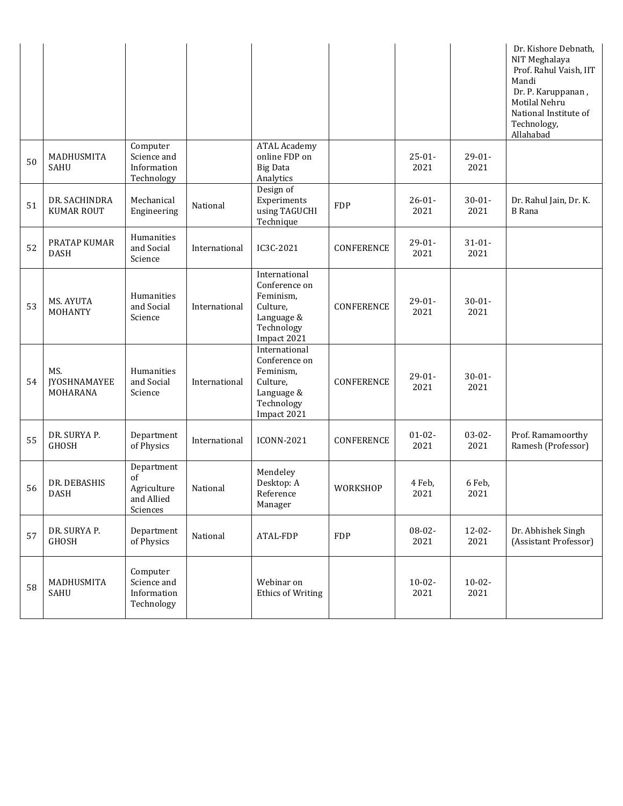|    |                                        |                                                           |               |                                                                                                    |            |                     |                     | Dr. Kishore Debnath,<br>NIT Meghalaya<br>Prof. Rahul Vaish, IIT<br>Mandi<br>Dr. P. Karuppanan,<br>Motilal Nehru<br>National Institute of<br>Technology,<br>Allahabad |
|----|----------------------------------------|-----------------------------------------------------------|---------------|----------------------------------------------------------------------------------------------------|------------|---------------------|---------------------|----------------------------------------------------------------------------------------------------------------------------------------------------------------------|
| 50 | MADHUSMITA<br><b>SAHU</b>              | Computer<br>Science and<br>Information<br>Technology      |               | <b>ATAL Academy</b><br>online FDP on<br><b>Big Data</b><br>Analytics                               |            | $25 - 01 -$<br>2021 | $29-01-$<br>2021    |                                                                                                                                                                      |
| 51 | DR. SACHINDRA<br><b>KUMAR ROUT</b>     | Mechanical<br>Engineering                                 | National      | Design of<br>Experiments<br>using TAGUCHI<br>Technique                                             | <b>FDP</b> | $26 - 01 -$<br>2021 | $30 - 01 -$<br>2021 | Dr. Rahul Jain, Dr. K.<br><b>B</b> Rana                                                                                                                              |
| 52 | PRATAP KUMAR<br><b>DASH</b>            | Humanities<br>and Social<br>Science                       | International | IC3C-2021                                                                                          | CONFERENCE | $29-01-$<br>2021    | $31 - 01 -$<br>2021 |                                                                                                                                                                      |
| 53 | MS. AYUTA<br>MOHANTY                   | Humanities<br>and Social<br>Science                       | International | International<br>Conference on<br>Feminism,<br>Culture,<br>Language &<br>Technology<br>Impact 2021 | CONFERENCE | $29-01-$<br>2021    | $30 - 01 -$<br>2021 |                                                                                                                                                                      |
| 54 | MS.<br><b>JYOSHNAMAYEE</b><br>MOHARANA | Humanities<br>and Social<br>Science                       | International | International<br>Conference on<br>Feminism,<br>Culture,<br>Language &<br>Technology<br>Impact 2021 | CONFERENCE | $29-01-$<br>2021    | $30 - 01 -$<br>2021 |                                                                                                                                                                      |
| 55 | DR. SURYA P.<br>GHOSH                  | Department<br>of Physics                                  | International | <b>ICONN-2021</b>                                                                                  | CONFERENCE | $01 - 02 -$<br>2021 | $03-02-$<br>2021    | Prof. Ramamoorthy<br>Ramesh (Professor)                                                                                                                              |
| 56 | DR. DEBASHIS<br><b>DASH</b>            | Department<br>of<br>Agriculture<br>and Allied<br>Sciences | National      | Mendeley<br>Desktop: A<br>Reference<br>Manager                                                     | WORKSHOP   | 4 Feb,<br>2021      | 6 Feb,<br>2021      |                                                                                                                                                                      |
| 57 | DR. SURYA P.<br>GHOSH                  | Department<br>of Physics                                  | National      | ATAL-FDP                                                                                           | <b>FDP</b> | $08 - 02 -$<br>2021 | $12 - 02 -$<br>2021 | Dr. Abhishek Singh<br>(Assistant Professor)                                                                                                                          |
| 58 | MADHUSMITA<br>SAHU                     | Computer<br>Science and<br>Information<br>Technology      |               | Webinar on<br><b>Ethics of Writing</b>                                                             |            | $10 - 02 -$<br>2021 | $10 - 02 -$<br>2021 |                                                                                                                                                                      |